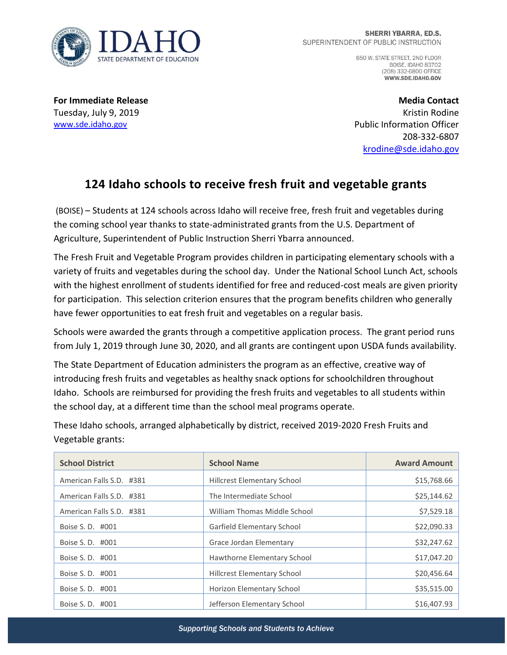

650 W. STATE STREET, 2ND FLOOR **BOISE, IDAHO 83702** (208) 332-6800 OFFICE WWW.SDE.IDAHO.GOV

**For Immediate Release** Tuesday, July 9, 2019 [www.sde.idaho.gov](http://www.sde.idaho.gov/)

**Media Contact** Kristin Rodine Public Information Officer 208-332-6807 [krodine@sde.idaho.gov](mailto:krodine@sde.idaho.gov)

## **124 Idaho schools to receive fresh fruit and vegetable grants**

(BOISE) – Students at 124 schools across Idaho will receive free, fresh fruit and vegetables during the coming school year thanks to state-administrated grants from the U.S. Department of Agriculture, Superintendent of Public Instruction Sherri Ybarra announced.

The Fresh Fruit and Vegetable Program provides children in participating elementary schools with a variety of fruits and vegetables during the school day. Under the National School Lunch Act, schools with the highest enrollment of students identified for free and reduced-cost meals are given priority for participation. This selection criterion ensures that the program benefits children who generally have fewer opportunities to eat fresh fruit and vegetables on a regular basis.

Schools were awarded the grants through a competitive application process. The grant period runs from July 1, 2019 through June 30, 2020, and all grants are contingent upon USDA funds availability.

The State Department of Education administers the program as an effective, creative way of introducing fresh fruits and vegetables as healthy snack options for schoolchildren throughout Idaho. Schools are reimbursed for providing the fresh fruits and vegetables to all students within the school day, at a different time than the school meal programs operate.

These Idaho schools, arranged alphabetically by district, received 2019-2020 Fresh Fruits and Vegetable grants:

| <b>School District</b>   | <b>School Name</b>                 | <b>Award Amount</b> |
|--------------------------|------------------------------------|---------------------|
| American Falls S.D. #381 | <b>Hillcrest Elementary School</b> | \$15,768.66         |
| American Falls S.D. #381 | The Intermediate School            | \$25,144.62         |
| American Falls S.D. #381 | William Thomas Middle School       | \$7,529.18          |
| Boise S. D. #001         | Garfield Elementary School         | \$22,090.33         |
| Boise S. D. #001         | Grace Jordan Elementary            | \$32,247.62         |
| Boise S. D. #001         | Hawthorne Elementary School        | \$17,047.20         |
| Boise S. D. #001         | <b>Hillcrest Elementary School</b> | \$20,456.64         |
| Boise S. D. #001         | Horizon Elementary School          | \$35,515.00         |
| Boise S. D. #001         | Jefferson Elementary School        | \$16,407.93         |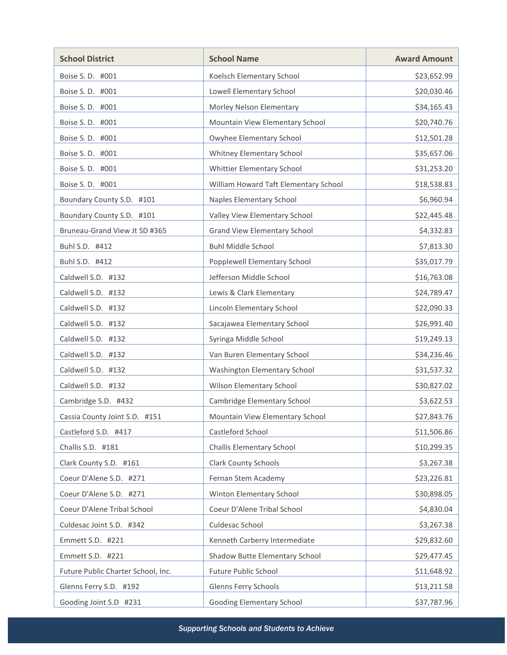| <b>School District</b>             | <b>School Name</b>                    | <b>Award Amount</b> |
|------------------------------------|---------------------------------------|---------------------|
| Boise S. D. #001                   | Koelsch Elementary School             | \$23,652.99         |
| Boise S. D. #001                   | Lowell Elementary School              | \$20,030.46         |
| Boise S. D. #001                   | Morley Nelson Elementary              | \$34,165.43         |
| Boise S. D. #001                   | Mountain View Elementary School       | \$20,740.76         |
| Boise S. D. #001                   | Owyhee Elementary School              | \$12,501.28         |
| Boise S.D. #001                    | Whitney Elementary School             | \$35,657.06         |
| Boise S. D. #001                   | Whittier Elementary School            | \$31,253.20         |
| Boise S. D. #001                   | William Howard Taft Elementary School | \$18,538.83         |
| Boundary County S.D. #101          | Naples Elementary School              | \$6,960.94          |
| Boundary County S.D. #101          | Valley View Elementary School         | \$22,445.48         |
| Bruneau-Grand View Jt SD #365      | <b>Grand View Elementary School</b>   | \$4,332.83          |
| Buhl S.D. #412                     | <b>Buhl Middle School</b>             | \$7,813.30          |
| Buhl S.D. #412                     | Popplewell Elementary School          | \$35,017.79         |
| Caldwell S.D. #132                 | Jefferson Middle School               | \$16,763.08         |
| Caldwell S.D. #132                 | Lewis & Clark Elementary              | \$24,789.47         |
| Caldwell S.D. #132                 | Lincoln Elementary School             | \$22,090.33         |
| Caldwell S.D. #132                 | Sacajawea Elementary School           | \$26,991.40         |
| Caldwell S.D. #132                 | Syringa Middle School                 | \$19,249.13         |
| Caldwell S.D. #132                 | Van Buren Elementary School           | \$34,236.46         |
| Caldwell S.D. #132                 | Washington Elementary School          | \$31,537.32         |
| Caldwell S.D. #132                 | Wilson Elementary School              | \$30,827.02         |
| Cambridge S.D. #432                | Cambridge Elementary School           | \$3,622.53          |
| Cassia County Joint S.D. #151      | Mountain View Elementary School       | \$27,843.76         |
| Castleford S.D. #417               | Castleford School                     | \$11,506.86         |
| Challis S.D. #181                  | <b>Challis Elementary School</b>      | \$10,299.35         |
| Clark County S.D. #161             | <b>Clark County Schools</b>           | \$3,267.38          |
| Coeur D'Alene S.D. #271            | Fernan Stem Academy                   | \$23,226.81         |
| Coeur D'Alene S.D. #271            | Winton Elementary School              | \$30,898.05         |
| Coeur D'Alene Tribal School        | Coeur D'Alene Tribal School           | \$4,830.04          |
| Culdesac Joint S.D. #342           | Culdesac School                       | \$3,267.38          |
| Emmett S.D. #221                   | Kenneth Carberry Intermediate         | \$29,832.60         |
| Emmett S.D. #221                   | Shadow Butte Elementary School        | \$29,477.45         |
| Future Public Charter School, Inc. | Future Public School                  | \$11,648.92         |
| Glenns Ferry S.D. #192             | Glenns Ferry Schools                  | \$13,211.58         |
| Gooding Joint S.D #231             | Gooding Elementary School             | \$37,787.96         |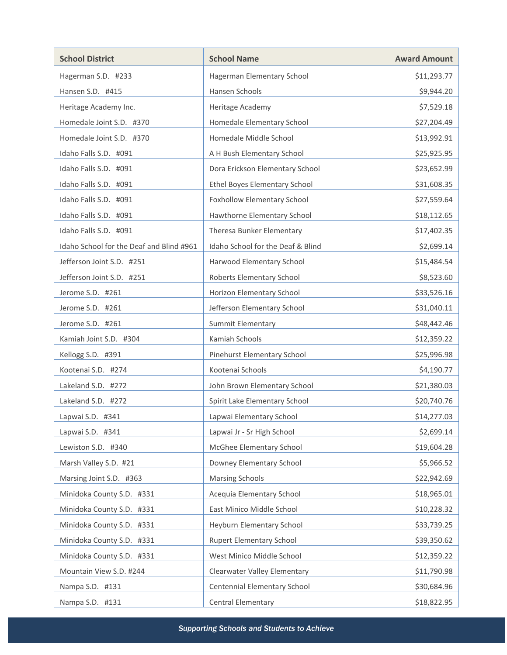| <b>School District</b>                   | <b>School Name</b>                | <b>Award Amount</b> |
|------------------------------------------|-----------------------------------|---------------------|
| Hagerman S.D. #233                       | Hagerman Elementary School        | \$11,293.77         |
| Hansen S.D. #415                         | Hansen Schools                    | \$9,944.20          |
| Heritage Academy Inc.                    | Heritage Academy                  | \$7,529.18          |
| Homedale Joint S.D. #370                 | Homedale Elementary School        | \$27,204.49         |
| Homedale Joint S.D. #370                 | Homedale Middle School            | \$13,992.91         |
| Idaho Falls S.D. #091                    | A H Bush Elementary School        | \$25,925.95         |
| Idaho Falls S.D. #091                    | Dora Erickson Elementary School   | \$23,652.99         |
| Idaho Falls S.D. #091                    | Ethel Boyes Elementary School     | \$31,608.35         |
| Idaho Falls S.D. #091                    | Foxhollow Elementary School       | \$27,559.64         |
| Idaho Falls S.D. #091                    | Hawthorne Elementary School       | \$18,112.65         |
| Idaho Falls S.D. #091                    | Theresa Bunker Elementary         | \$17,402.35         |
| Idaho School for the Deaf and Blind #961 | Idaho School for the Deaf & Blind | \$2,699.14          |
| Jefferson Joint S.D. #251                | Harwood Elementary School         | \$15,484.54         |
| Jefferson Joint S.D. #251                | Roberts Elementary School         | \$8,523.60          |
| Jerome S.D. #261                         | Horizon Elementary School         | \$33,526.16         |
| Jerome S.D. #261                         | Jefferson Elementary School       | \$31,040.11         |
| Jerome S.D. #261                         | Summit Elementary                 | \$48,442.46         |
| Kamiah Joint S.D. #304                   | Kamiah Schools                    | \$12,359.22         |
| Kellogg S.D. #391                        | Pinehurst Elementary School       | \$25,996.98         |
| Kootenai S.D. #274                       | Kootenai Schools                  | \$4,190.77          |
| Lakeland S.D. #272                       | John Brown Elementary School      | \$21,380.03         |
| Lakeland S.D. #272                       | Spirit Lake Elementary School     | \$20,740.76         |
| Lapwai S.D. #341                         | Lapwai Elementary School          | \$14,277.03         |
| Lapwai S.D. #341                         | Lapwai Jr - Sr High School        | \$2,699.14          |
| Lewiston S.D. #340                       | McGhee Elementary School          | \$19,604.28         |
| Marsh Valley S.D. #21                    | Downey Elementary School          | \$5,966.52          |
| Marsing Joint S.D. #363                  | <b>Marsing Schools</b>            | \$22,942.69         |
| Minidoka County S.D. #331                | Acequia Elementary School         | \$18,965.01         |
| Minidoka County S.D. #331                | East Minico Middle School         | \$10,228.32         |
| Minidoka County S.D. #331                | Heyburn Elementary School         | \$33,739.25         |
| Minidoka County S.D. #331                | <b>Rupert Elementary School</b>   | \$39,350.62         |
| Minidoka County S.D. #331                | West Minico Middle School         | \$12,359.22         |
| Mountain View S.D. #244                  | Clearwater Valley Elementary      | \$11,790.98         |
| Nampa S.D. #131                          | Centennial Elementary School      | \$30,684.96         |
| Nampa S.D. #131                          | Central Elementary                | \$18,822.95         |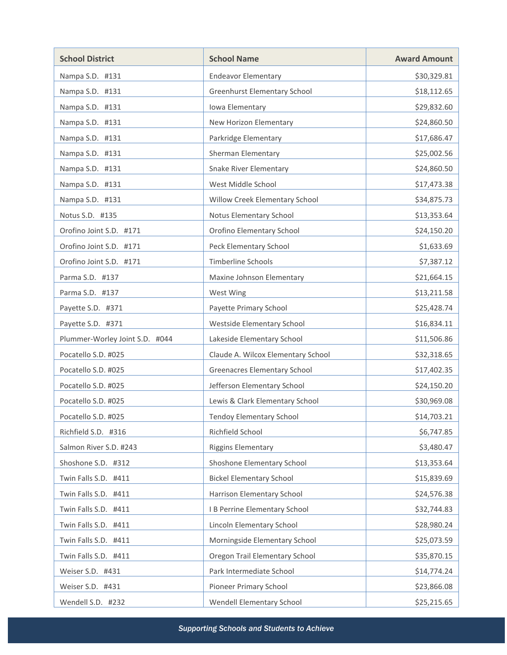| <b>School District</b>         | <b>School Name</b>                  | <b>Award Amount</b> |
|--------------------------------|-------------------------------------|---------------------|
| Nampa S.D. #131                | <b>Endeavor Elementary</b>          | \$30,329.81         |
| Nampa S.D. #131                | <b>Greenhurst Elementary School</b> | \$18,112.65         |
| Nampa S.D. #131                | Iowa Elementary                     | \$29,832.60         |
| Nampa S.D. #131                | New Horizon Elementary              | \$24,860.50         |
| Nampa S.D. #131                | Parkridge Elementary                | \$17,686.47         |
| Nampa S.D. #131                | Sherman Elementary                  | \$25,002.56         |
| Nampa S.D. #131                | <b>Snake River Elementary</b>       | \$24,860.50         |
| Nampa S.D. #131                | West Middle School                  | \$17,473.38         |
| Nampa S.D. #131                | Willow Creek Elementary School      | \$34,875.73         |
| Notus S.D. #135                | Notus Elementary School             | \$13,353.64         |
| Orofino Joint S.D. #171        | Orofino Elementary School           | \$24,150.20         |
| Orofino Joint S.D. #171        | Peck Elementary School              | \$1,633.69          |
| Orofino Joint S.D. #171        | Timberline Schools                  | \$7,387.12          |
| Parma S.D. #137                | Maxine Johnson Elementary           | \$21,664.15         |
| Parma S.D. #137                | West Wing                           | \$13,211.58         |
| Payette S.D. #371              | Payette Primary School              | \$25,428.74         |
| Payette S.D. #371              | Westside Elementary School          | \$16,834.11         |
| Plummer-Worley Joint S.D. #044 | Lakeside Elementary School          | \$11,506.86         |
| Pocatello S.D. #025            | Claude A. Wilcox Elementary School  | \$32,318.65         |
| Pocatello S.D. #025            | <b>Greenacres Elementary School</b> | \$17,402.35         |
| Pocatello S.D. #025            | Jefferson Elementary School         | \$24,150.20         |
| Pocatello S.D. #025            | Lewis & Clark Elementary School     | \$30,969.08         |
| Pocatello S.D. #025            | Tendoy Elementary School            | \$14,703.21         |
| Richfield S.D. #316            | Richfield School                    | \$6,747.85          |
| Salmon River S.D. #243         | <b>Riggins Elementary</b>           | \$3,480.47          |
| Shoshone S.D. #312             | Shoshone Elementary School          | \$13,353.64         |
| Twin Falls S.D. #411           | <b>Bickel Elementary School</b>     | \$15,839.69         |
| Twin Falls S.D. #411           | Harrison Elementary School          | \$24,576.38         |
| Twin Falls S.D. #411           | I B Perrine Elementary School       | \$32,744.83         |
| Twin Falls S.D. #411           | Lincoln Elementary School           | \$28,980.24         |
| Twin Falls S.D. #411           | Morningside Elementary School       | \$25,073.59         |
| Twin Falls S.D. #411           | Oregon Trail Elementary School      | \$35,870.15         |
| Weiser S.D. #431               | Park Intermediate School            | \$14,774.24         |
| Weiser S.D. #431               | Pioneer Primary School              | \$23,866.08         |
| Wendell S.D. #232              | Wendell Elementary School           | \$25,215.65         |